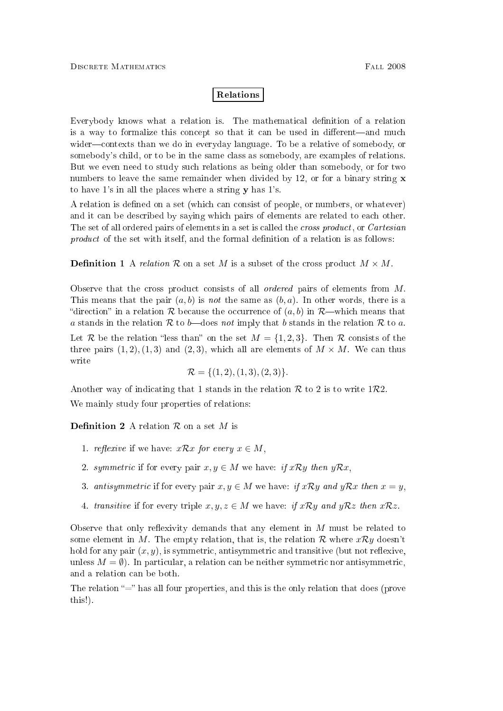## Relations

Everybody knows what a relation is. The mathematical definition of a relation is a way to formalize this concept so that it can be used in different—and much wider—contexts than we do in everyday language. To be a relative of somebody, or somebody's hild, or to be in the same lass as somebody, are examples of relations. But we even need to study su
h relations as being older than somebody, or for two numbers to leave the same remainder when divided by 12, or for a binary string  $\mathbf x$ to have 1's in all the pla
es where a string y has 1's.

A relation is defined on a set (which can consist of people, or numbers, or whatever) and it can be described by saying which pairs of elements are related to each other. The set of all ordered pairs of elements in a set is called the *cross product*, or *Cartesian* product of the set with itself, and the formal definition of a relation is as follows:

## **Definition 1** A relation R on a set M is a subset of the cross product  $M \times M$ .

Observe that the cross product consists of all *ordered* pairs of elements from M. This means that the pair  $(a, b)$  is not the same as  $(b, a)$ . In other words, there is a "direction" in a relation R because the occurrence of  $(a, b)$  in R—which means that a stands in the relation R to b—does not imply that b stands in the relation R to a. Let R be the relation "less than" on the set  $M = \{1, 2, 3\}$ . Then R consists of the three pairs  $(1, 2), (1, 3)$  and  $(2, 3)$ , which all are elements of  $M \times M$ . We can thus write

$$
\mathcal{R} = \{(1,2), (1,3), (2,3)\}.
$$

Another way of indicating that 1 stands in the relation  $\mathcal R$  to 2 is to write 1 $\mathcal R$ 2. We mainly study four properties of relations:

**Definition 2** A relation  $\mathcal{R}$  on a set M is

- 1. reflexive if we have:  $x \mathcal{R} x$  for every  $x \in M$ .
- 2. symmetric if for every pair  $x, y \in M$  we have: if  $x \mathcal{R} y$  then  $y \mathcal{R} x$ ,
- 3. antisymmetric if for every pair  $x, y \in M$  we have: if  $x \mathcal{R} y$  and  $y \mathcal{R} x$  then  $x = y$ ,
- 4. transitive if for every triple  $x, y, z \in M$  we have: if  $x \mathcal{R} y$  and  $y \mathcal{R} z$  then  $x \mathcal{R} z$ .

Observe that only reflexivity demands that any element in  $M$  must be related to some element in M. The empty relation, that is, the relation  $\mathcal R$  where  $x\mathcal Ry$  doesn't hold for any pair  $(x, y)$ , is symmetric, antisymmetric and transitive (but not reflexive, unless  $M = \emptyset$ ). In particular, a relation can be neither symmetric nor antisymmetric, and a relation an be both.

The relation  $=$ " has all four properties, and this is the only relation that does (prove this!).